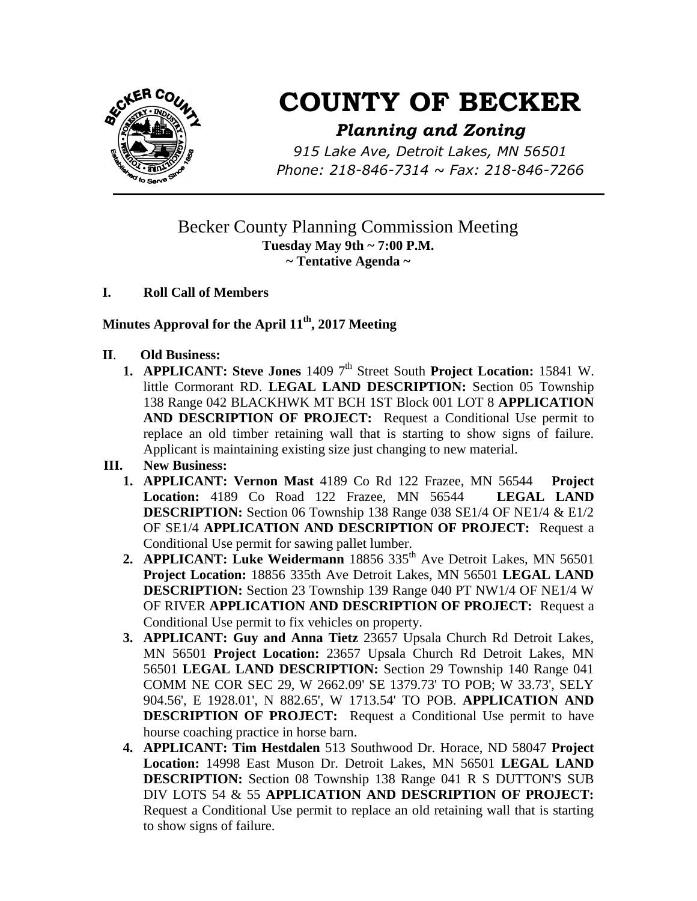

# **COUNTY OF BECKER**

## *Planning and Zoning*

*915 Lake Ave, Detroit Lakes, MN 56501 Phone: 218-846-7314 ~ Fax: 218-846-7266*

### Becker County Planning Commission Meeting **Tuesday May 9th ~ 7:00 P.M. ~ Tentative Agenda ~**

#### **I. Roll Call of Members**

#### **Minutes Approval for the April 11 th , 2017 Meeting**

- **II**. **Old Business:** 
	- **1. APPLICANT: Steve Jones** 1409 7<sup>th</sup> Street South **Project Location:** 15841 W. little Cormorant RD. **LEGAL LAND DESCRIPTION:** Section 05 Township 138 Range 042 BLACKHWK MT BCH 1ST Block 001 LOT 8 **APPLICATION AND DESCRIPTION OF PROJECT:** Request a Conditional Use permit to replace an old timber retaining wall that is starting to show signs of failure. Applicant is maintaining existing size just changing to new material.
- **III. New Business:**
	- **1. APPLICANT: Vernon Mast** 4189 Co Rd 122 Frazee, MN 56544 **Project Location:** 4189 Co Road 122 Frazee, MN 56544 **LEGAL LAND DESCRIPTION:** Section 06 Township 138 Range 038 SE1/4 OF NE1/4 & E1/2 OF SE1/4 **APPLICATION AND DESCRIPTION OF PROJECT:** Request a Conditional Use permit for sawing pallet lumber.
	- **2. APPLICANT: Luke Weidermann** 18856 335<sup>th</sup> Ave Detroit Lakes, MN 56501 **Project Location:** 18856 335th Ave Detroit Lakes, MN 56501 **LEGAL LAND DESCRIPTION:** Section 23 Township 139 Range 040 PT NW1/4 OF NE1/4 W OF RIVER **APPLICATION AND DESCRIPTION OF PROJECT:** Request a Conditional Use permit to fix vehicles on property.
	- **3. APPLICANT: Guy and Anna Tietz** 23657 Upsala Church Rd Detroit Lakes, MN 56501 **Project Location:** 23657 Upsala Church Rd Detroit Lakes, MN 56501 **LEGAL LAND DESCRIPTION:** Section 29 Township 140 Range 041 COMM NE COR SEC 29, W 2662.09' SE 1379.73' TO POB; W 33.73', SELY 904.56', E 1928.01', N 882.65', W 1713.54' TO POB. **APPLICATION AND DESCRIPTION OF PROJECT:** Request a Conditional Use permit to have hourse coaching practice in horse barn.
	- **4. APPLICANT: Tim Hestdalen** 513 Southwood Dr. Horace, ND 58047 **Project Location:** 14998 East Muson Dr. Detroit Lakes, MN 56501 **LEGAL LAND DESCRIPTION:** Section 08 Township 138 Range 041 R S DUTTON'S SUB DIV LOTS 54 & 55 **APPLICATION AND DESCRIPTION OF PROJECT:**  Request a Conditional Use permit to replace an old retaining wall that is starting to show signs of failure.